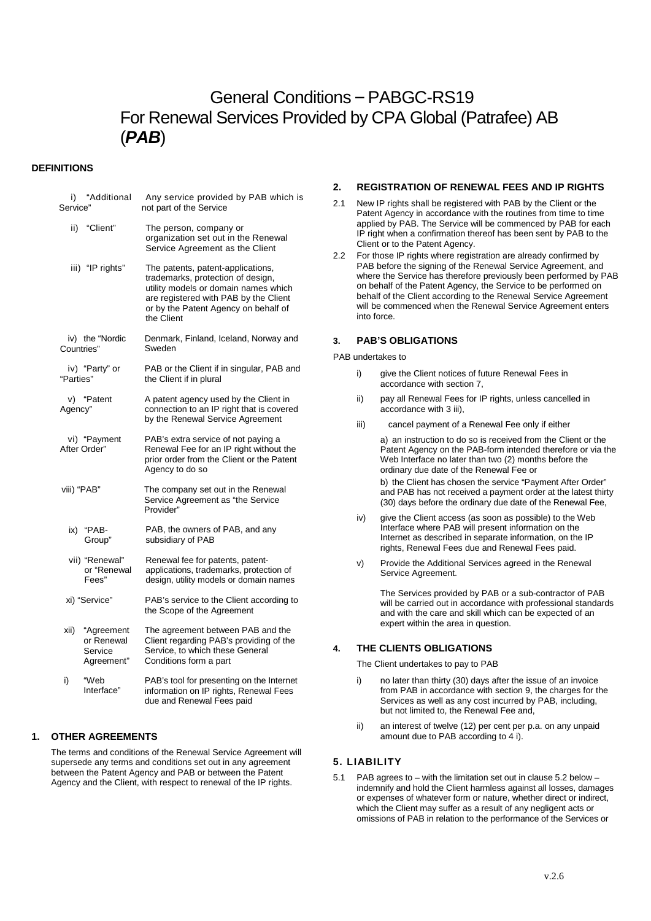# General Conditions – PABGC-RS19 For Renewal Services Provided by CPA Global (Patrafee) AB (*PAB*)

#### **DEFINITIONS**

i) "Additional Any service provided by PAB which is Service" not part of the Service ii) "Client" The person, company or organization set out in the Renewal Service Agreement as the Client iii) "IP rights" The patents, patent-applications, trademarks, protection of design, utility models or domain names which are registered with PAB by the Client or by the Patent Agency on behalf of the Client Denmark, Finland, Iceland, Norway and Sweden PAB or the Client if in singular, PAB and the Client if in plural A patent agency used by the Client in connection to an IP right that is covered by the Renewal Service Agreement PAB's extra service of not paying a Renewal Fee for an IP right without the prior order from the Client or the Patent Agency to do so iv) the "Nordic Countries" iv) "Party" or "Parties" v) "Patent Agency" vi) "Payment After Order" viii) "PAB" The company set out in the Renewal Service Agreement as "the Service Provider" ix) "PAB-Group" vii) "Renewal" or "Renewal Fees" PAB, the owners of PAB, and any subsidiary of PAB Renewal fee for patents, patentapplications, trademarks, protection of design, utility models or domain names xi) "Service" PAB's service to the Client according to the Scope of the Agreement The agreement between PAB and the Client regarding PAB's providing of the Service, to which these General Conditions form a part PAB's tool for presenting on the Internet information on IP rights, Renewal Fees due and Renewal Fees paid xii) "Agreement or Renewal Service Agreement" i) "Web Interface"

#### **1. OTHER AGREEMENTS**

The terms and conditions of the Renewal Service Agreement will supersede any terms and conditions set out in any agreement between the Patent Agency and PAB or between the Patent Agency and the Client, with respect to renewal of the IP rights.

#### **2. REGISTRATION OF RENEWAL FEES AND IP RIGHTS**

- 2.1 New IP rights shall be registered with PAB by the Client or the Patent Agency in accordance with the routines from time to time applied by PAB. The Service will be commenced by PAB for each IP right when a confirmation thereof has been sent by PAB to the Client or to the Patent Agency.
- 2.2 For those IP rights where registration are already confirmed by PAB before the signing of the Renewal Service Agreement, and where the Service has therefore previously been performed by PAB on behalf of the Patent Agency, the Service to be performed on behalf of the Client according to the Renewal Service Agreement will be commenced when the Renewal Service Agreement enters into force.

#### **3. PAB'S OBLIGATIONS**

PAB undertakes to

- i) give the Client notices of future Renewal Fees in accordance with section 7,
- ii) pay all Renewal Fees for IP rights, unless cancelled in accordance with 3 iii),
- iii) cancel payment of a Renewal Fee only if either

a) an instruction to do so is received from the Client or the Patent Agency on the PAB-form intended therefore or via the Web Interface no later than two (2) months before the ordinary due date of the Renewal Fee or b) the Client has chosen the service "Payment After Order" and PAB has not received a payment order at the latest thirty

(30) days before the ordinary due date of the Renewal Fee, iv) give the Client access (as soon as possible) to the Web Interface where PAB will present information on the Internet as described in separate information, on the IP rights, Renewal Fees due and Renewal Fees paid.

v) Provide the Additional Services agreed in the Renewal Service Agreement.

> The Services provided by PAB or a sub-contractor of PAB will be carried out in accordance with professional standards and with the care and skill which can be expected of an expert within the area in question.

#### **4. THE CLIENTS OBLIGATIONS**

The Client undertakes to pay to PAB

- i) no later than thirty (30) days after the issue of an invoice from PAB in accordance with section 9, the charges for the Services as well as any cost incurred by PAB, including, but not limited to, the Renewal Fee and,
- ii) an interest of twelve (12) per cent per p.a. on any unpaid amount due to PAB according to 4 i).

### **5. LIABILITY**

5.1 PAB agrees to – with the limitation set out in clause 5.2 below – indemnify and hold the Client harmless against all losses, damages or expenses of whatever form or nature, whether direct or indirect, which the Client may suffer as a result of any negligent acts or omissions of PAB in relation to the performance of the Services or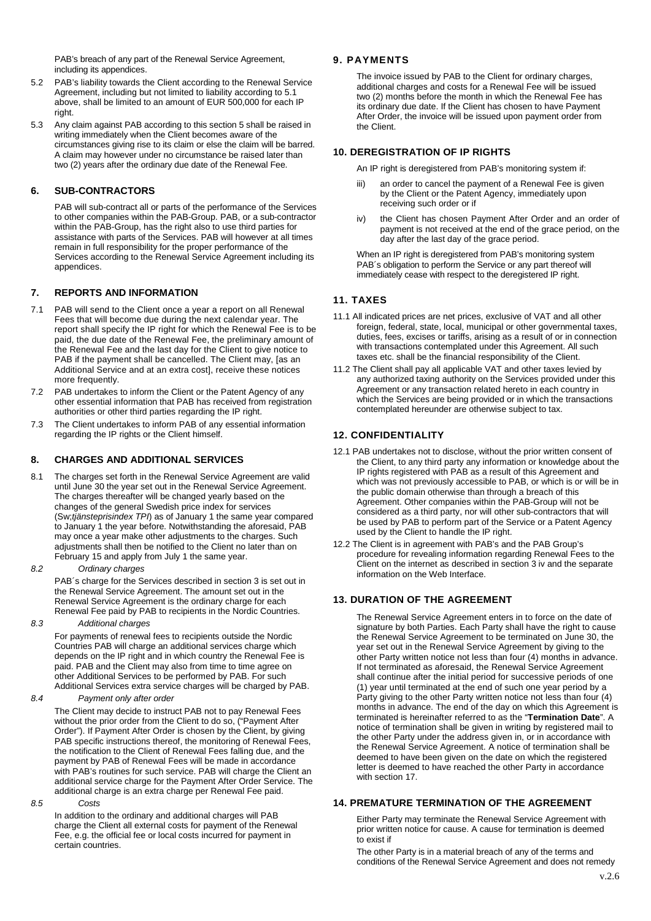PAB's breach of any part of the Renewal Service Agreement, including its appendices.

- 5.2 PAB's liability towards the Client according to the Renewal Service Agreement, including but not limited to liability according to 5.1 above, shall be limited to an amount of EUR 500,000 for each IP right.
- 5.3 Any claim against PAB according to this section 5 shall be raised in writing immediately when the Client becomes aware of the circumstances giving rise to its claim or else the claim will be barred. A claim may however under no circumstance be raised later than two (2) years after the ordinary due date of the Renewal Fee.

#### **6. SUB-CONTRACTORS**

PAB will sub-contract all or parts of the performance of the Services to other companies within the PAB-Group. PAB, or a sub-contractor within the PAB-Group, has the right also to use third parties for assistance with parts of the Services. PAB will however at all times remain in full responsibility for the proper performance of the Services according to the Renewal Service Agreement including its appendices.

#### **7. REPORTS AND INFORMATION**

- 7.1 PAB will send to the Client once a year a report on all Renewal Fees that will become due during the next calendar year. The report shall specify the IP right for which the Renewal Fee is to be paid, the due date of the Renewal Fee, the preliminary amount of the Renewal Fee and the last day for the Client to give notice to PAB if the payment shall be cancelled. The Client may, [as an Additional Service and at an extra cost], receive these notices more frequently.
- 7.2 PAB undertakes to inform the Client or the Patent Agency of any other essential information that PAB has received from registration authorities or other third parties regarding the IP right.
- 7.3 The Client undertakes to inform PAB of any essential information regarding the IP rights or the Client himself.

#### **8. CHARGES AND ADDITIONAL SERVICES**

- 8.1 The charges set forth in the Renewal Service Agreement are valid until June 30 the year set out in the Renewal Service Agreement. The charges thereafter will be changed yearly based on the changes of the general Swedish price index for services (Sw;*tjänsteprisindex TPI*) as of January 1 the same year compared to January 1 the year before. Notwithstanding the aforesaid, PAB may once a year make other adjustments to the charges. Such adjustments shall then be notified to the Client no later than on February 15 and apply from July 1 the same year.
- *8.2 Ordinary charges*

PAB´s charge for the Services described in section 3 is set out in the Renewal Service Agreement. The amount set out in the Renewal Service Agreement is the ordinary charge for each Renewal Fee paid by PAB to recipients in the Nordic Countries.

*8.3 Additional charges*

For payments of renewal fees to recipients outside the Nordic Countries PAB will charge an additional services charge which depends on the IP right and in which country the Renewal Fee is paid. PAB and the Client may also from time to time agree on other Additional Services to be performed by PAB. For such Additional Services extra service charges will be charged by PAB.

*8.4 Payment only after order*

The Client may decide to instruct PAB not to pay Renewal Fees without the prior order from the Client to do so, ("Payment After Order"). If Payment After Order is chosen by the Client, by giving PAB specific instructions thereof, the monitoring of Renewal Fees, the notification to the Client of Renewal Fees falling due, and the payment by PAB of Renewal Fees will be made in accordance with PAB's routines for such service. PAB will charge the Client an additional service charge for the Payment After Order Service. The additional charge is an extra charge per Renewal Fee paid.

*8.5 Costs*

In addition to the ordinary and additional charges will PAB charge the Client all external costs for payment of the Renewal Fee, e.g. the official fee or local costs incurred for payment in certain countries.

#### **9. PAYMENTS**

The invoice issued by PAB to the Client for ordinary charges, additional charges and costs for a Renewal Fee will be issued two (2) months before the month in which the Renewal Fee has its ordinary due date. If the Client has chosen to have Payment After Order, the invoice will be issued upon payment order from the Client.

#### **10. DEREGISTRATION OF IP RIGHTS**

An IP right is deregistered from PAB's monitoring system if:

- iii) an order to cancel the payment of a Renewal Fee is given by the Client or the Patent Agency, immediately upon receiving such order or if
- iv) the Client has chosen Payment After Order and an order of payment is not received at the end of the grace period, on the day after the last day of the grace period.

When an IP right is deregistered from PAB's monitoring system PAB´s obligation to perform the Service or any part thereof will immediately cease with respect to the deregistered IP right.

# **11. TAXES**

- 11.1 All indicated prices are net prices, exclusive of VAT and all other foreign, federal, state, local, municipal or other governmental taxes, duties, fees, excises or tariffs, arising as a result of or in connection with transactions contemplated under this Agreement. All such taxes etc. shall be the financial responsibility of the Client.
- 11.2 The Client shall pay all applicable VAT and other taxes levied by any authorized taxing authority on the Services provided under this Agreement or any transaction related hereto in each country in which the Services are being provided or in which the transactions contemplated hereunder are otherwise subject to tax.

#### **12. CONFIDENTIALITY**

- 12.1 PAB undertakes not to disclose, without the prior written consent of the Client, to any third party any information or knowledge about the IP rights registered with PAB as a result of this Agreement and which was not previously accessible to PAB, or which is or will be in the public domain otherwise than through a breach of this Agreement. Other companies within the PAB-Group will not be considered as a third party, nor will other sub-contractors that will be used by PAB to perform part of the Service or a Patent Agency used by the Client to handle the IP right.
- 12.2 The Client is in agreement with PAB's and the PAB Group's procedure for revealing information regarding Renewal Fees to the Client on the internet as described in section 3 iv and the separate information on the Web Interface.

#### **13. DURATION OF THE AGREEMENT**

The Renewal Service Agreement enters in to force on the date of signature by both Parties. Each Party shall have the right to cause the Renewal Service Agreement to be terminated on June 30, the year set out in the Renewal Service Agreement by giving to the other Party written notice not less than four (4) months in advance. If not terminated as aforesaid, the Renewal Service Agreement shall continue after the initial period for successive periods of one (1) year until terminated at the end of such one year period by a Party giving to the other Party written notice not less than four (4) months in advance. The end of the day on which this Agreement is terminated is hereinafter referred to as the "**Termination Date**". A notice of termination shall be given in writing by registered mail to the other Party under the address given in, or in accordance with the Renewal Service Agreement. A notice of termination shall be deemed to have been given on the date on which the registered letter is deemed to have reached the other Party in accordance with section 17.

#### **14. PREMATURE TERMINATION OF THE AGREEMENT**

Either Party may terminate the Renewal Service Agreement with prior written notice for cause. A cause for termination is deemed to exist if

The other Party is in a material breach of any of the terms and conditions of the Renewal Service Agreement and does not remedy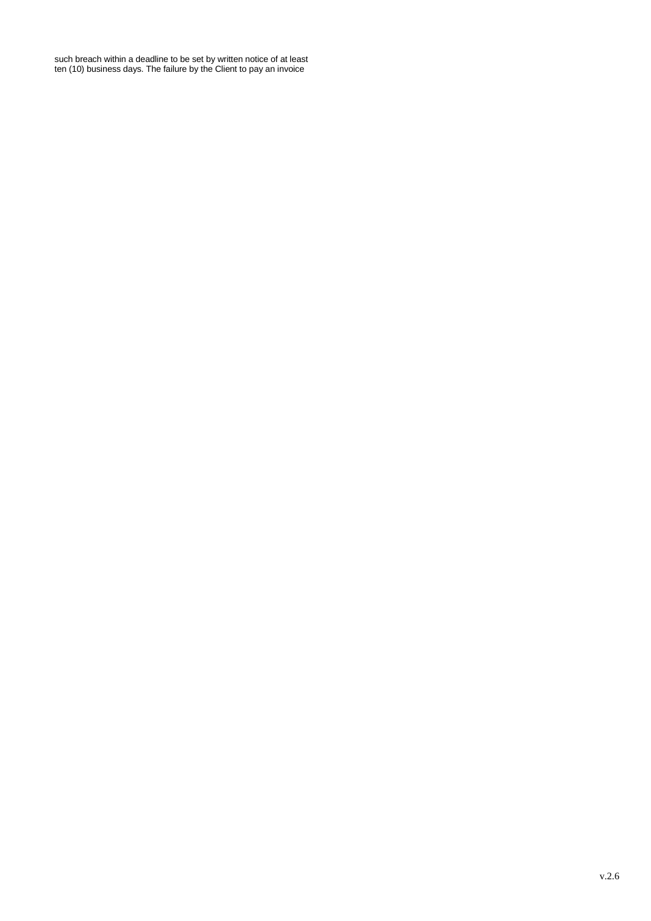such breach within a deadline to be set by written notice of at least ten (10) business days. The failure by the Client to pay an invoice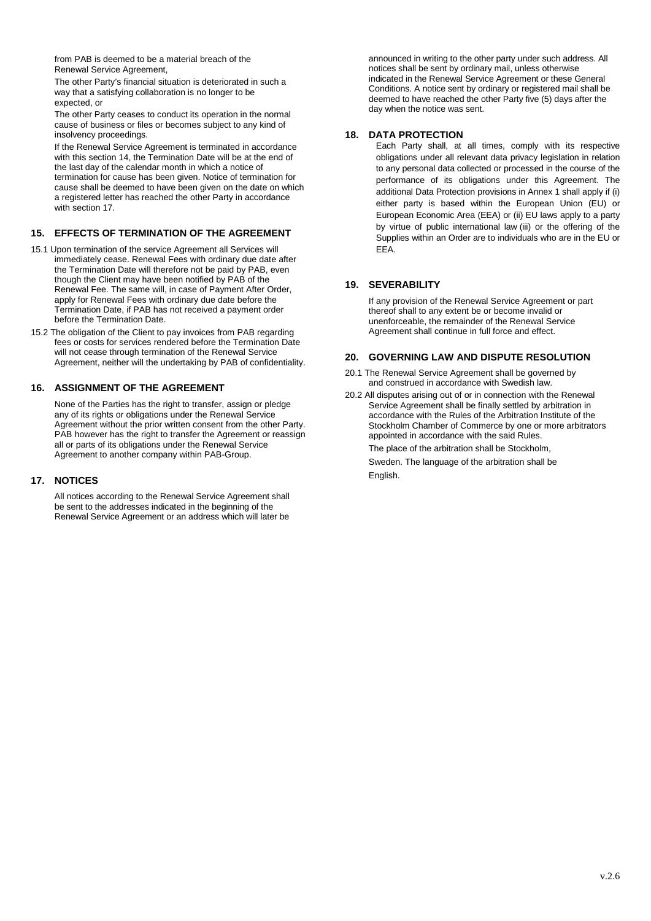from PAB is deemed to be a material breach of the Renewal Service Agreement,

The other Party's financial situation is deteriorated in such a way that a satisfying collaboration is no longer to be expected, or

The other Party ceases to conduct its operation in the normal cause of business or files or becomes subject to any kind of insolvency proceedings.

If the Renewal Service Agreement is terminated in accordance with this section 14, the Termination Date will be at the end of the last day of the calendar month in which a notice of termination for cause has been given. Notice of termination for cause shall be deemed to have been given on the date on which a registered letter has reached the other Party in accordance with section 17.

# **15. EFFECTS OF TERMINATION OF THE AGREEMENT**

- 15.1 Upon termination of the service Agreement all Services will immediately cease. Renewal Fees with ordinary due date after the Termination Date will therefore not be paid by PAB, even though the Client may have been notified by PAB of the Renewal Fee. The same will, in case of Payment After Order, apply for Renewal Fees with ordinary due date before the Termination Date, if PAB has not received a payment order before the Termination Date.
- 15.2 The obligation of the Client to pay invoices from PAB regarding fees or costs for services rendered before the Termination Date will not cease through termination of the Renewal Service Agreement, neither will the undertaking by PAB of confidentiality.

#### **16. ASSIGNMENT OF THE AGREEMENT**

None of the Parties has the right to transfer, assign or pledge any of its rights or obligations under the Renewal Service Agreement without the prior written consent from the other Party. PAB however has the right to transfer the Agreement or reassign all or parts of its obligations under the Renewal Service Agreement to another company within PAB-Group.

#### **17. NOTICES**

All notices according to the Renewal Service Agreement shall be sent to the addresses indicated in the beginning of the Renewal Service Agreement or an address which will later be

announced in writing to the other party under such address. All notices shall be sent by ordinary mail, unless otherwise indicated in the Renewal Service Agreement or these General Conditions. A notice sent by ordinary or registered mail shall be deemed to have reached the other Party five (5) days after the day when the notice was sent.

#### **18. DATA PROTECTION**

Each Party shall, at all times, comply with its respective obligations under all relevant data privacy legislation in relation to any personal data collected or processed in the course of the performance of its obligations under this Agreement. The additional Data Protection provisions in Annex 1 shall apply if (i) either party is based within the European Union (EU) or European Economic Area (EEA) or (ii) EU laws apply to a party by virtue of public international law (iii) or the offering of the Supplies within an Order are to individuals who are in the EU or EEA.

#### **19. SEVERABILITY**

If any provision of the Renewal Service Agreement or part thereof shall to any extent be or become invalid or unenforceable, the remainder of the Renewal Service Agreement shall continue in full force and effect.

#### **20. GOVERNING LAW AND DISPUTE RESOLUTION**

- 20.1 The Renewal Service Agreement shall be governed by and construed in accordance with Swedish law.
- 20.2 All disputes arising out of or in connection with the Renewal Service Agreement shall be finally settled by arbitration in accordance with the Rules of the Arbitration Institute of the Stockholm Chamber of Commerce by one or more arbitrators appointed in accordance with the said Rules.
	- The place of the arbitration shall be Stockholm,
	- Sweden. The language of the arbitration shall be **English**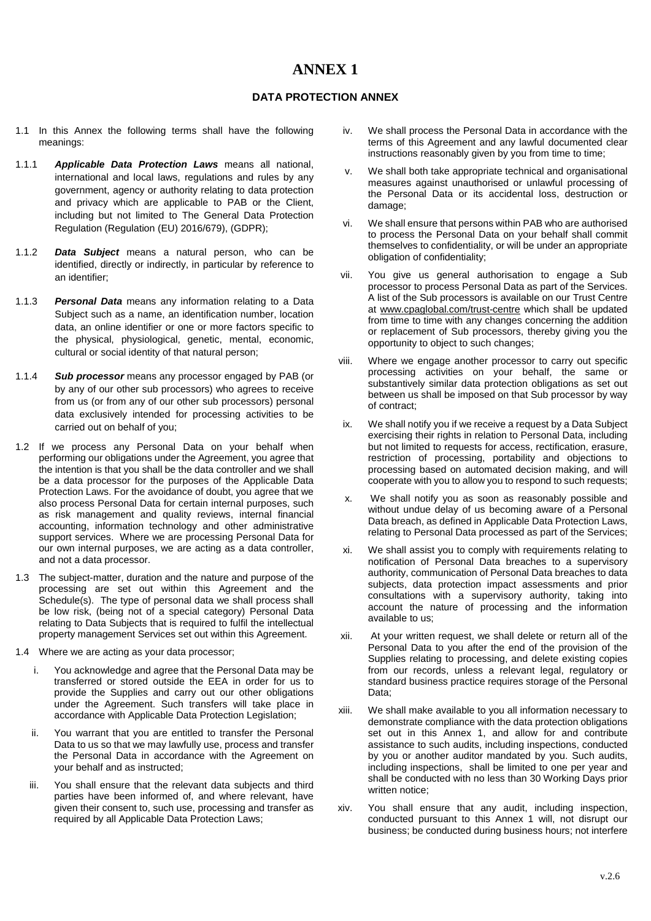# **ANNEX 1**

# **DATA PROTECTION ANNEX**

- 1.1 In this Annex the following terms shall have the following meanings:
- 1.1.1 *Applicable Data Protection Laws* means all national, international and local laws, regulations and rules by any government, agency or authority relating to data protection and privacy which are applicable to PAB or the Client, including but not limited to The General Data Protection Regulation (Regulation (EU) 2016/679), (GDPR);
- 1.1.2 *Data Subject* means a natural person, who can be identified, directly or indirectly, in particular by reference to an identifier;
- 1.1.3 *Personal Data* means any information relating to a Data Subject such as a name, an identification number, location data, an online identifier or one or more factors specific to the physical, physiological, genetic, mental, economic, cultural or social identity of that natural person;
- 1.1.4 *Sub processor* means any processor engaged by PAB (or by any of our other sub processors) who agrees to receive from us (or from any of our other sub processors) personal data exclusively intended for processing activities to be carried out on behalf of you;
- 1.2 If we process any Personal Data on your behalf when performing our obligations under the Agreement, you agree that the intention is that you shall be the data controller and we shall be a data processor for the purposes of the Applicable Data Protection Laws. For the avoidance of doubt, you agree that we also process Personal Data for certain internal purposes, such as risk management and quality reviews, internal financial accounting, information technology and other administrative support services. Where we are processing Personal Data for our own internal purposes, we are acting as a data controller, and not a data processor.
- 1.3 The subject-matter, duration and the nature and purpose of the processing are set out within this Agreement and the Schedule(s). The type of personal data we shall process shall be low risk, (being not of a special category) Personal Data relating to Data Subjects that is required to fulfil the intellectual property management Services set out within this Agreement.
- 1.4 Where we are acting as your data processor;
	- i. You acknowledge and agree that the Personal Data may be transferred or stored outside the EEA in order for us to provide the Supplies and carry out our other obligations under the Agreement. Such transfers will take place in accordance with Applicable Data Protection Legislation;
	- ii. You warrant that you are entitled to transfer the Personal Data to us so that we may lawfully use, process and transfer the Personal Data in accordance with the Agreement on your behalf and as instructed;
	- iii. You shall ensure that the relevant data subjects and third parties have been informed of, and where relevant, have given their consent to, such use, processing and transfer as required by all Applicable Data Protection Laws;
- iv. We shall process the Personal Data in accordance with the terms of this Agreement and any lawful documented clear instructions reasonably given by you from time to time;
- v. We shall both take appropriate technical and organisational measures against unauthorised or unlawful processing of the Personal Data or its accidental loss, destruction or damage;
- vi. We shall ensure that persons within PAB who are authorised to process the Personal Data on your behalf shall commit themselves to confidentiality, or will be under an appropriate obligation of confidentiality;
- vii. You give us general authorisation to engage a Sub processor to process Personal Data as part of the Services. A list of the Sub processors is available on our Trust Centre at www.cpaglobal.com/trust-centre which shall be updated from time to time with any changes concerning the addition or replacement of Sub processors, thereby giving you the opportunity to object to such changes;
- viii. Where we engage another processor to carry out specific processing activities on your behalf, the same or substantively similar data protection obligations as set out between us shall be imposed on that Sub processor by way of contract;
- ix. We shall notify you if we receive a request by a Data Subject exercising their rights in relation to Personal Data, including but not limited to requests for access, rectification, erasure, restriction of processing, portability and objections to processing based on automated decision making, and will cooperate with you to allow you to respond to such requests;
- x. We shall notify you as soon as reasonably possible and without undue delay of us becoming aware of a Personal Data breach, as defined in Applicable Data Protection Laws, relating to Personal Data processed as part of the Services;
- xi. We shall assist you to comply with requirements relating to notification of Personal Data breaches to a supervisory authority, communication of Personal Data breaches to data subjects, data protection impact assessments and prior consultations with a supervisory authority, taking into account the nature of processing and the information available to us;
- xii. At your written request, we shall delete or return all of the Personal Data to you after the end of the provision of the Supplies relating to processing, and delete existing copies from our records, unless a relevant legal, regulatory or standard business practice requires storage of the Personal Data;
- xiii. We shall make available to you all information necessary to demonstrate compliance with the data protection obligations set out in this Annex 1, and allow for and contribute assistance to such audits, including inspections, conducted by you or another auditor mandated by you. Such audits, including inspections, shall be limited to one per year and shall be conducted with no less than 30 Working Days prior written notice;
- xiv. You shall ensure that any audit, including inspection, conducted pursuant to this Annex 1 will, not disrupt our business; be conducted during business hours; not interfere